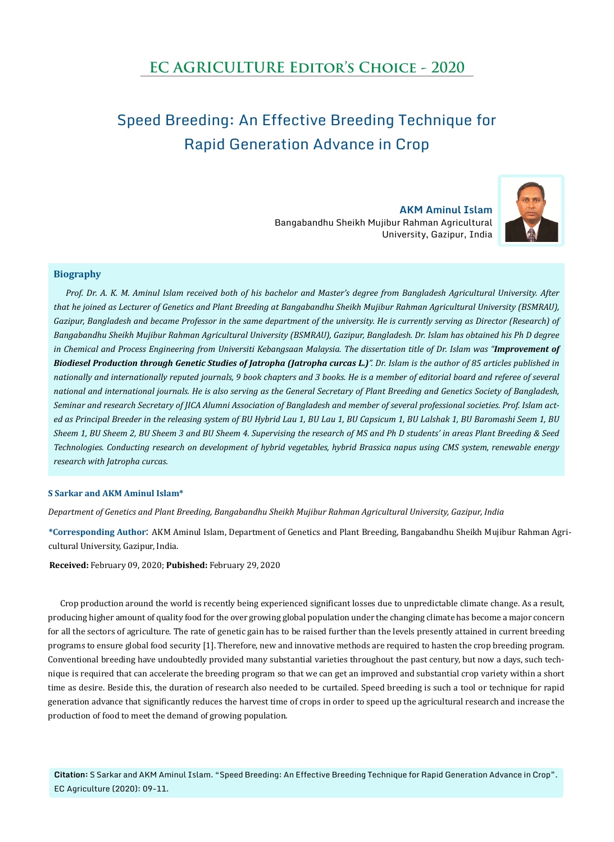## **EC AGRICULTURE Editor's Choice - 2020**

# Speed Breeding: An Effective Breeding Technique for Rapid Generation Advance in Crop

**AKM Aminul Islam** Bangabandhu Sheikh Mujibur Rahman Agricultural University, Gazipur, India



#### **Biography**

*Prof. Dr. A. K. M. Aminul Islam received both of his bachelor and Master's degree from Bangladesh Agricultural University. After that he joined as Lecturer of Genetics and Plant Breeding at Bangabandhu Sheikh Mujibur Rahman Agricultural University (BSMRAU),*  Gazipur, Bangladesh and became Professor in the same department of the university. He is currently serving as Director (Research) of *Bangabandhu Sheikh Mujibur Rahman Agricultural University (BSMRAU), Gazipur, Bangladesh. Dr. Islam has obtained his Ph D degree in Chemical and Process Engineering from Universiti Kebangsaan Malaysia. The dissertation title of Dr. Islam was "Improvement of Biodiesel Production through Genetic Studies of Jatropha (Jatropha curcas L.)". Dr. Islam is the author of 85 articles published in nationally and internationally reputed journals, 9 book chapters and 3 books. He is a member of editorial board and referee of several national and international journals. He is also serving as the General Secretary of Plant Breeding and Genetics Society of Bangladesh, Seminar and research Secretary of JICA Alumni Association of Bangladesh and member of several professional societies. Prof. Islam acted as Principal Breeder in the releasing system of BU Hybrid Lau 1, BU Lau 1, BU Capsicum 1, BU Lalshak 1, BU Baromashi Seem 1, BU Sheem 1, BU Sheem 2, BU Sheem 3 and BU Sheem 4. Supervising the research of MS and Ph D students' in areas Plant Breeding & Seed Technologies. Conducting research on development of hybrid vegetables, hybrid Brassica napus using CMS system, renewable energy research with Jatropha curcas.*

#### **S Sarkar and AKM Aminul Islam\***

*Department of Genetics and Plant Breeding, Bangabandhu Sheikh Mujibur Rahman Agricultural University, Gazipur, India*

**\*Corresponding Author**: AKM Aminul Islam, Department of Genetics and Plant Breeding, Bangabandhu Sheikh Mujibur Rahman Agricultural University, Gazipur, India.

**Received:** February 09, 2020; **Pubished:** February 29, 2020

Crop production around the world is recently being experienced significant losses due to unpredictable climate change. As a result, producing higher amount of quality food for the over growing global population under the changing climate has become a major concern for all the sectors of agriculture. The rate of genetic gain has to be raised further than the levels presently attained in current breeding programs to ensure global food security [1]. Therefore, new and innovative methods are required to hasten the crop breeding program. Conventional breeding have undoubtedly provided many substantial varieties throughout the past century, but now a days, such technique is required that can accelerate the breeding program so that we can get an improved and substantial crop variety within a short time as desire. Beside this, the duration of research also needed to be curtailed. Speed breeding is such a tool or technique for rapid generation advance that significantly reduces the harvest time of crops in order to speed up the agricultural research and increase the production of food to meet the demand of growing population.

**Citation:** S Sarkar and AKM Aminul Islam. "Speed Breeding: An Effective Breeding Technique for Rapid Generation Advance in Crop". EC Agriculture (2020): 09-11.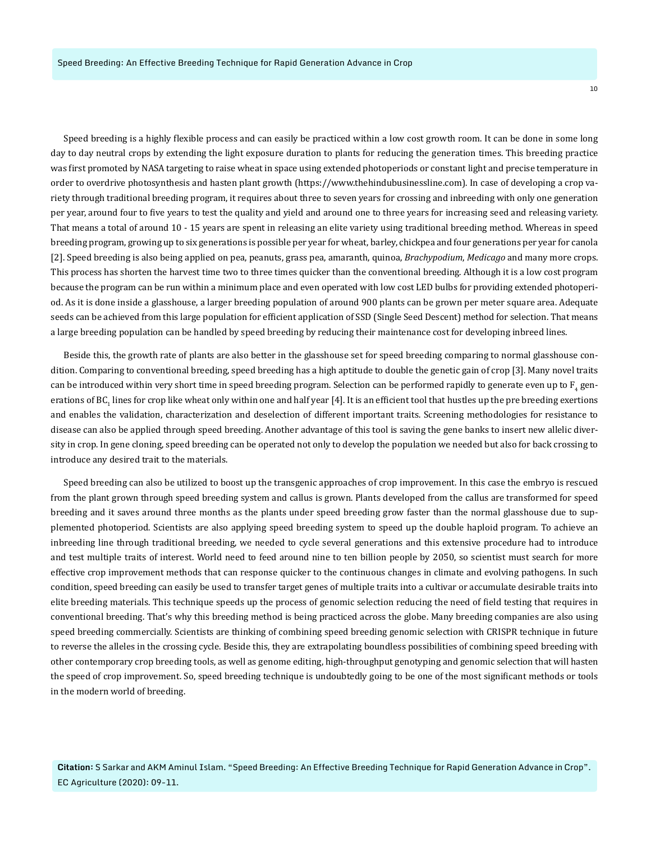Speed breeding is a highly flexible process and can easily be practiced within a low cost growth room. It can be done in some long day to day neutral crops by extending the light exposure duration to plants for reducing the generation times. This breeding practice was first promoted by NASA targeting to raise wheat in space using extended photoperiods or constant light and precise temperature in order to overdrive photosynthesis and hasten plant growth ([https://www.thehindubusinessline.com\)](https://www.thehindubusinessline.com). In case of developing a crop variety through traditional breeding program, it requires about three to seven years for crossing and inbreeding with only one generation per year, around four to five years to test the quality and yield and around one to three years for increasing seed and releasing variety. That means a total of around 10 - 15 years are spent in releasing an elite variety using traditional breeding method. Whereas in speed breeding program, growing up to six generations is possible per year for wheat, barley, chickpea and four generations per year for canola [2]. Speed breeding is also being applied on pea, peanuts, grass pea, amaranth, quinoa, *Brachypodium*, *Medicago* and many more crops. This process has shorten the harvest time two to three times quicker than the conventional breeding. Although it is a low cost program because the program can be run within a minimum place and even operated with low cost LED bulbs for providing extended photoperiod. As it is done inside a glasshouse, a larger breeding population of around 900 plants can be grown per meter square area. Adequate seeds can be achieved from this large population for efficient application of SSD (Single Seed Descent) method for selection. That means a large breeding population can be handled by speed breeding by reducing their maintenance cost for developing inbreed lines.

Beside this, the growth rate of plants are also better in the glasshouse set for speed breeding comparing to normal glasshouse condition. Comparing to conventional breeding, speed breeding has a high aptitude to double the genetic gain of crop [3]. Many novel traits can be introduced within very short time in speed breeding program. Selection can be performed rapidly to generate even up to  ${\rm F}_4$  generations of BC<sub>1</sub> lines for crop like wheat only within one and half year [4]. It is an efficient tool that hustles up the pre breeding exertions and enables the validation, characterization and deselection of different important traits. Screening methodologies for resistance to disease can also be applied through speed breeding. Another advantage of this tool is saving the gene banks to insert new allelic diversity in crop. In gene cloning, speed breeding can be operated not only to develop the population we needed but also for back crossing to introduce any desired trait to the materials.

Speed breeding can also be utilized to boost up the transgenic approaches of crop improvement. In this case the embryo is rescued from the plant grown through speed breeding system and callus is grown. Plants developed from the callus are transformed for speed breeding and it saves around three months as the plants under speed breeding grow faster than the normal glasshouse due to supplemented photoperiod. Scientists are also applying speed breeding system to speed up the double haploid program. To achieve an inbreeding line through traditional breeding, we needed to cycle several generations and this extensive procedure had to introduce and test multiple traits of interest. World need to feed around nine to ten billion people by 2050, so scientist must search for more effective crop improvement methods that can response quicker to the continuous changes in climate and evolving pathogens. In such condition, speed breeding can easily be used to transfer target genes of multiple traits into a cultivar or accumulate desirable traits into elite breeding materials. This technique speeds up the process of genomic selection reducing the need of field testing that requires in conventional breeding. That's why this breeding method is being practiced across the globe. Many breeding companies are also using speed breeding commercially. Scientists are thinking of combining speed breeding genomic selection with CRISPR technique in future to reverse the alleles in the crossing cycle. Beside this, they are extrapolating boundless possibilities of combining speed breeding with other contemporary crop breeding tools, as well as genome editing, high-throughput genotyping and genomic selection that will hasten the speed of crop improvement. So, speed breeding technique is undoubtedly going to be one of the most significant methods or tools in the modern world of breeding.